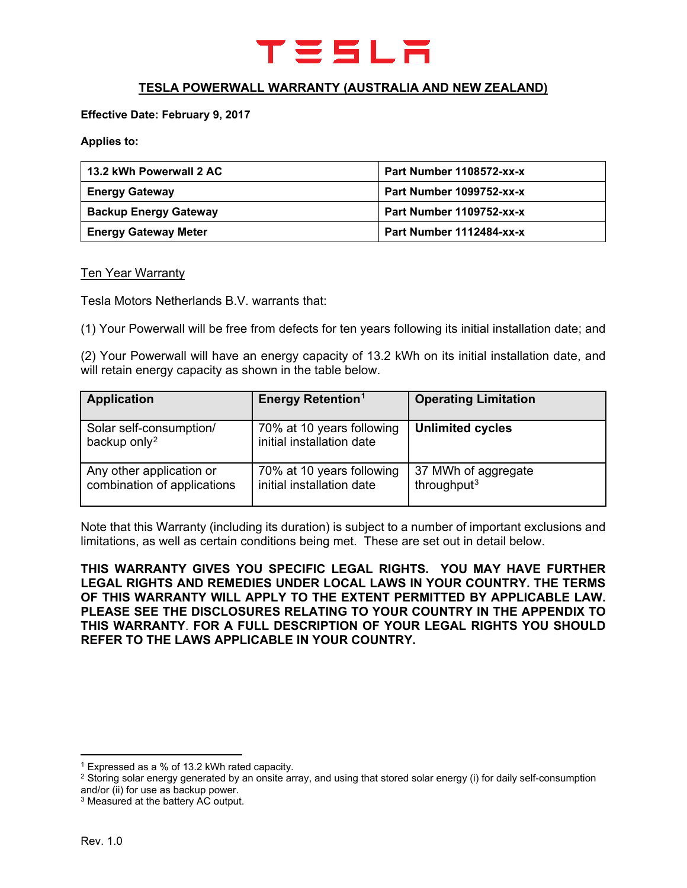

# **TESLA POWERWALL WARRANTY (AUSTRALIA AND NEW ZEALAND)**

#### **Effective Date: February 9, 2017**

**Applies to:**

| 13.2 kWh Powerwall 2 AC      | Part Number 1108572-xx-x |
|------------------------------|--------------------------|
| <b>Energy Gateway</b>        | Part Number 1099752-xx-x |
| <b>Backup Energy Gateway</b> | Part Number 1109752-xx-x |
| <b>Energy Gateway Meter</b>  | Part Number 1112484-xx-x |

#### **Ten Year Warranty**

Tesla Motors Netherlands B.V. warrants that:

(1) Your Powerwall will be free from defects for ten years following its initial installation date; and

(2) Your Powerwall will have an energy capacity of 13.2 kWh on its initial installation date, and will retain energy capacity as shown in the table below.

| <b>Application</b>                                      | <b>Energy Retention<sup>1</sup></b>                    | <b>Operating Limitation</b>                    |
|---------------------------------------------------------|--------------------------------------------------------|------------------------------------------------|
| Solar self-consumption/<br>backup only <sup>2</sup>     | 70% at 10 years following<br>initial installation date | <b>Unlimited cycles</b>                        |
| Any other application or<br>combination of applications | 70% at 10 years following<br>initial installation date | 37 MWh of aggregate<br>throughput <sup>3</sup> |

Note that this Warranty (including its duration) is subject to a number of important exclusions and limitations, as well as certain conditions being met. These are set out in detail below.

**THIS WARRANTY GIVES YOU SPECIFIC LEGAL RIGHTS. YOU MAY HAVE FURTHER LEGAL RIGHTS AND REMEDIES UNDER LOCAL LAWS IN YOUR COUNTRY. THE TERMS OF THIS WARRANTY WILL APPLY TO THE EXTENT PERMITTED BY APPLICABLE LAW. PLEASE SEE THE DISCLOSURES RELATING TO YOUR COUNTRY IN THE APPENDIX TO THIS WARRANTY**. **FOR A FULL DESCRIPTION OF YOUR LEGAL RIGHTS YOU SHOULD REFER TO THE LAWS APPLICABLE IN YOUR COUNTRY.**

**.** 

<span id="page-0-0"></span><sup>1</sup> Expressed as a % of 13.2 kWh rated capacity.

<span id="page-0-1"></span><sup>&</sup>lt;sup>2</sup> Storing solar energy generated by an onsite array, and using that stored solar energy (i) for daily self-consumption and/or (ii) for use as backup power.

<span id="page-0-2"></span><sup>&</sup>lt;sup>3</sup> Measured at the battery AC output.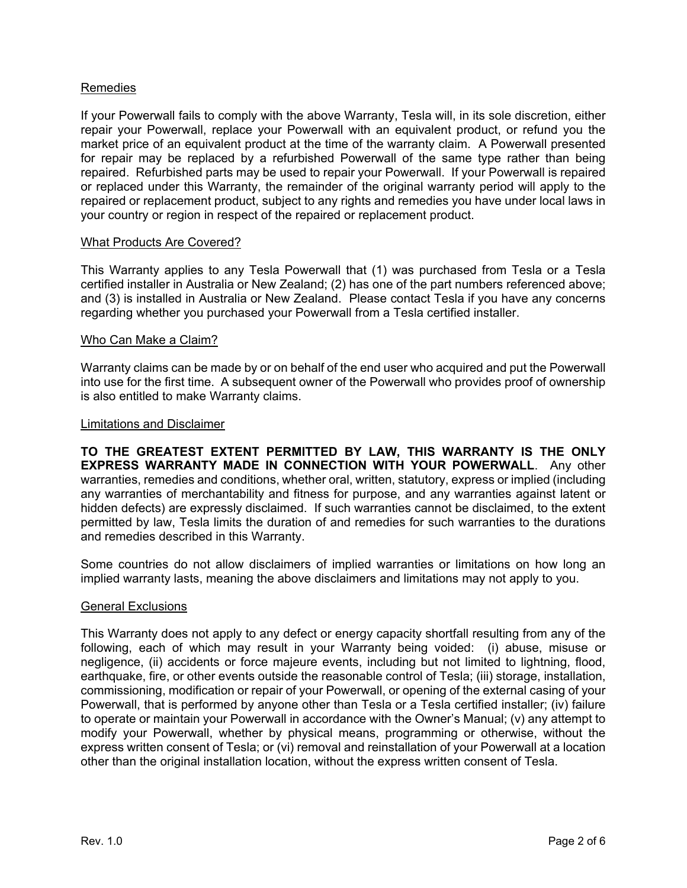## Remedies

If your Powerwall fails to comply with the above Warranty, Tesla will, in its sole discretion, either repair your Powerwall, replace your Powerwall with an equivalent product, or refund you the market price of an equivalent product at the time of the warranty claim. A Powerwall presented for repair may be replaced by a refurbished Powerwall of the same type rather than being repaired. Refurbished parts may be used to repair your Powerwall. If your Powerwall is repaired or replaced under this Warranty, the remainder of the original warranty period will apply to the repaired or replacement product, subject to any rights and remedies you have under local laws in your country or region in respect of the repaired or replacement product.

### What Products Are Covered?

This Warranty applies to any Tesla Powerwall that (1) was purchased from Tesla or a Tesla certified installer in Australia or New Zealand; (2) has one of the part numbers referenced above; and (3) is installed in Australia or New Zealand. Please contact Tesla if you have any concerns regarding whether you purchased your Powerwall from a Tesla certified installer.

#### Who Can Make a Claim?

Warranty claims can be made by or on behalf of the end user who acquired and put the Powerwall into use for the first time. A subsequent owner of the Powerwall who provides proof of ownership is also entitled to make Warranty claims.

#### Limitations and Disclaimer

**TO THE GREATEST EXTENT PERMITTED BY LAW, THIS WARRANTY IS THE ONLY EXPRESS WARRANTY MADE IN CONNECTION WITH YOUR POWERWALL**. Any other warranties, remedies and conditions, whether oral, written, statutory, express or implied (including any warranties of merchantability and fitness for purpose, and any warranties against latent or hidden defects) are expressly disclaimed. If such warranties cannot be disclaimed, to the extent permitted by law, Tesla limits the duration of and remedies for such warranties to the durations and remedies described in this Warranty.

Some countries do not allow disclaimers of implied warranties or limitations on how long an implied warranty lasts, meaning the above disclaimers and limitations may not apply to you.

### General Exclusions

This Warranty does not apply to any defect or energy capacity shortfall resulting from any of the following, each of which may result in your Warranty being voided: (i) abuse, misuse or negligence, (ii) accidents or force majeure events, including but not limited to lightning, flood, earthquake, fire, or other events outside the reasonable control of Tesla; (iii) storage, installation, commissioning, modification or repair of your Powerwall, or opening of the external casing of your Powerwall, that is performed by anyone other than Tesla or a Tesla certified installer; (iv) failure to operate or maintain your Powerwall in accordance with the Owner's Manual; (v) any attempt to modify your Powerwall, whether by physical means, programming or otherwise, without the express written consent of Tesla; or (vi) removal and reinstallation of your Powerwall at a location other than the original installation location, without the express written consent of Tesla.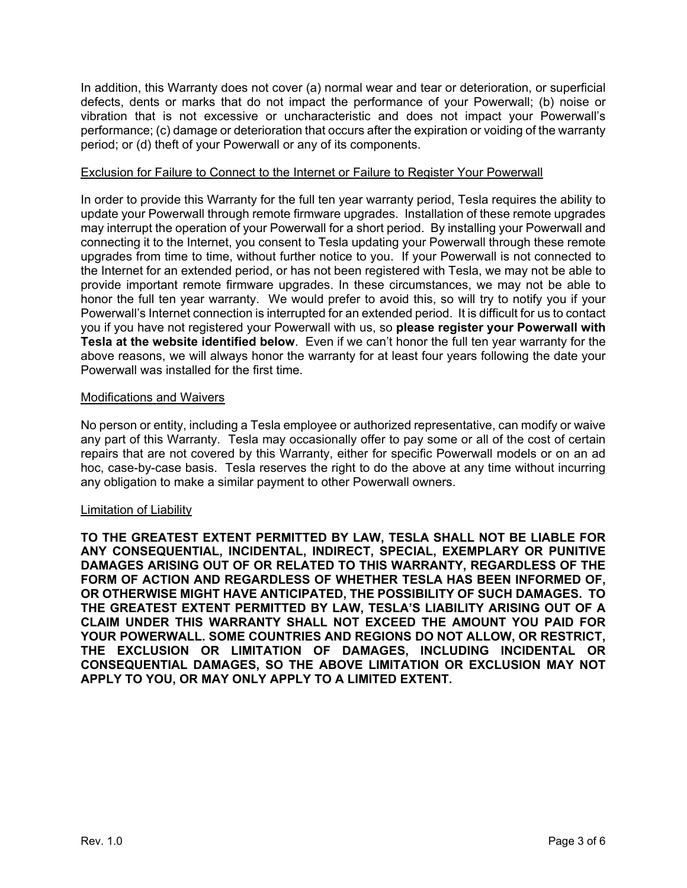In addition, this Warranty does not cover (a) normal wear and tear or deterioration, or superficial defects, dents or marks that do not impact the performance of your Powerwall; (b) noise or vibration that is not excessive or uncharacteristic and does not impact your Powerwall's performance; (c) damage or deterioration that occurs after the expiration or voiding of the warranty period; or (d) theft of your Powerwall or any of its components.

## Exclusion for Failure to Connect to the Internet or Failure to Register Your Powerwall

In order to provide this Warranty for the full ten year warranty period, Tesla requires the ability to update your Powerwall through remote firmware upgrades. Installation of these remote upgrades may interrupt the operation of your Powerwall for a short period. By installing your Powerwall and connecting it to the Internet, you consent to Tesla updating your Powerwall through these remote upgrades from time to time, without further notice to you. If your Powerwall is not connected to the Internet for an extended period, or has not been registered with Tesla, we may not be able to provide important remote firmware upgrades. In these circumstances, we may not be able to honor the full ten year warranty. We would prefer to avoid this, so will try to notify you if your Powerwall's Internet connection is interrupted for an extended period. It is difficult for us to contact you if you have not registered your Powerwall with us, so **please register your Powerwall with Tesla at the website identified below**. Even if we can't honor the full ten year warranty for the above reasons, we will always honor the warranty for at least four years following the date your Powerwall was installed for the first time.

### Modifications and Waivers

No person or entity, including a Tesla employee or authorized representative, can modify or waive any part of this Warranty. Tesla may occasionally offer to pay some or all of the cost of certain repairs that are not covered by this Warranty, either for specific Powerwall models or on an ad hoc, case-by-case basis. Tesla reserves the right to do the above at any time without incurring any obligation to make a similar payment to other Powerwall owners.

### Limitation of Liability

**TO THE GREATEST EXTENT PERMITTED BY LAW, TESLA SHALL NOT BE LIABLE FOR ANY CONSEQUENTIAL, INCIDENTAL, INDIRECT, SPECIAL, EXEMPLARY OR PUNITIVE DAMAGES ARISING OUT OF OR RELATED TO THIS WARRANTY, REGARDLESS OF THE FORM OF ACTION AND REGARDLESS OF WHETHER TESLA HAS BEEN INFORMED OF, OR OTHERWISE MIGHT HAVE ANTICIPATED, THE POSSIBILITY OF SUCH DAMAGES. TO THE GREATEST EXTENT PERMITTED BY LAW, TESLA'S LIABILITY ARISING OUT OF A CLAIM UNDER THIS WARRANTY SHALL NOT EXCEED THE AMOUNT YOU PAID FOR YOUR POWERWALL. SOME COUNTRIES AND REGIONS DO NOT ALLOW, OR RESTRICT, THE EXCLUSION OR LIMITATION OF DAMAGES, INCLUDING INCIDENTAL OR CONSEQUENTIAL DAMAGES, SO THE ABOVE LIMITATION OR EXCLUSION MAY NOT APPLY TO YOU, OR MAY ONLY APPLY TO A LIMITED EXTENT.**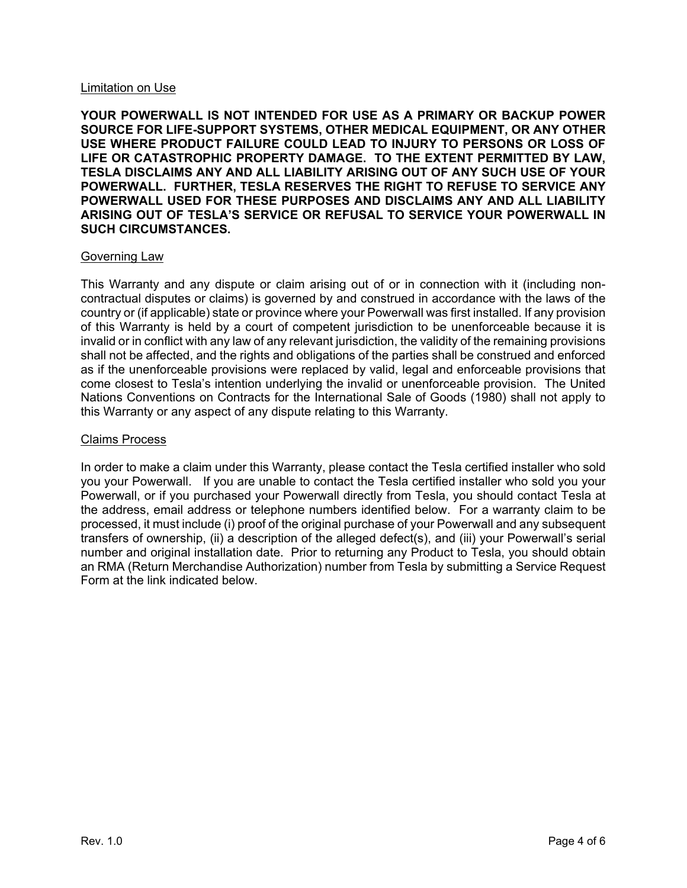### Limitation on Use

**YOUR POWERWALL IS NOT INTENDED FOR USE AS A PRIMARY OR BACKUP POWER SOURCE FOR LIFE-SUPPORT SYSTEMS, OTHER MEDICAL EQUIPMENT, OR ANY OTHER USE WHERE PRODUCT FAILURE COULD LEAD TO INJURY TO PERSONS OR LOSS OF LIFE OR CATASTROPHIC PROPERTY DAMAGE. TO THE EXTENT PERMITTED BY LAW, TESLA DISCLAIMS ANY AND ALL LIABILITY ARISING OUT OF ANY SUCH USE OF YOUR POWERWALL. FURTHER, TESLA RESERVES THE RIGHT TO REFUSE TO SERVICE ANY POWERWALL USED FOR THESE PURPOSES AND DISCLAIMS ANY AND ALL LIABILITY ARISING OUT OF TESLA'S SERVICE OR REFUSAL TO SERVICE YOUR POWERWALL IN SUCH CIRCUMSTANCES.**

#### Governing Law

This Warranty and any dispute or claim arising out of or in connection with it (including noncontractual disputes or claims) is governed by and construed in accordance with the laws of the country or (if applicable) state or province where your Powerwall was first installed. If any provision of this Warranty is held by a court of competent jurisdiction to be unenforceable because it is invalid or in conflict with any law of any relevant jurisdiction, the validity of the remaining provisions shall not be affected, and the rights and obligations of the parties shall be construed and enforced as if the unenforceable provisions were replaced by valid, legal and enforceable provisions that come closest to Tesla's intention underlying the invalid or unenforceable provision. The United Nations Conventions on Contracts for the International Sale of Goods (1980) shall not apply to this Warranty or any aspect of any dispute relating to this Warranty.

### Claims Process

In order to make a claim under this Warranty, please contact the Tesla certified installer who sold you your Powerwall. If you are unable to contact the Tesla certified installer who sold you your Powerwall, or if you purchased your Powerwall directly from Tesla, you should contact Tesla at the address, email address or telephone numbers identified below. For a warranty claim to be processed, it must include (i) proof of the original purchase of your Powerwall and any subsequent transfers of ownership, (ii) a description of the alleged defect(s), and (iii) your Powerwall's serial number and original installation date. Prior to returning any Product to Tesla, you should obtain an RMA (Return Merchandise Authorization) number from Tesla by submitting a Service Request Form at the link indicated below.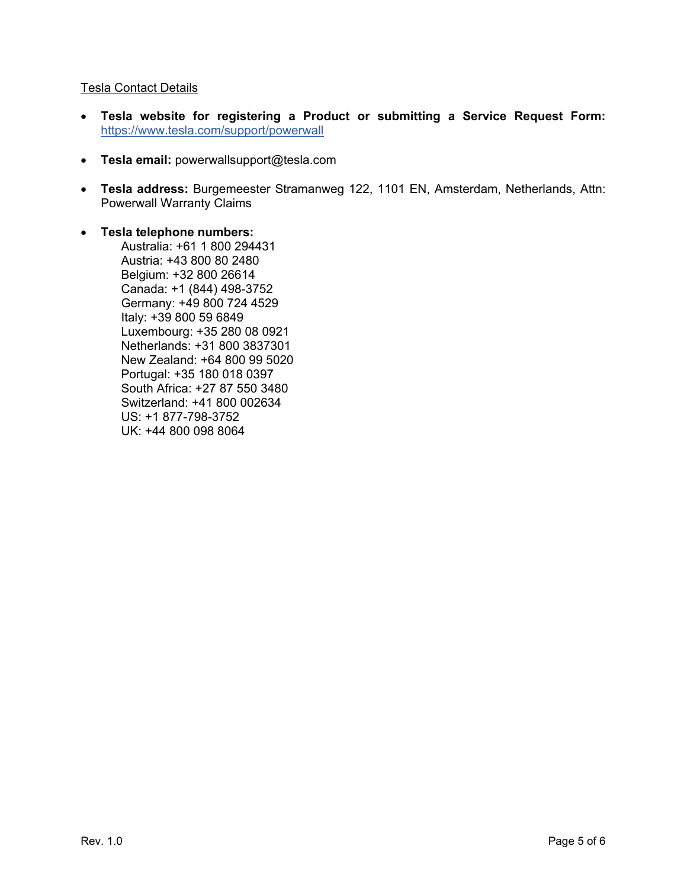## Tesla Contact Details

- **Tesla website for registering a Product or submitting a Service Request Form:** <https://www.tesla.com/support/powerwall>
- **Tesla email:** powerwallsupport@tesla.com
- **Tesla address:** Burgemeester Stramanweg 122, 1101 EN, Amsterdam, Netherlands, Attn: Powerwall Warranty Claims
- **Tesla telephone numbers:**

Australia: +61 1 800 294431 Austria: +43 800 80 2480 Belgium: +32 800 26614 Canada: +1 (844) 498-3752 Germany: +49 800 724 4529 Italy: +39 800 59 6849 Luxembourg: +35 280 08 0921 Netherlands: +31 800 3837301 New Zealand: +64 800 99 5020 Portugal: +35 180 018 0397 South Africa: +27 87 550 3480 Switzerland: +41 800 002634 US: +1 877-798-3752 UK: +44 800 098 8064